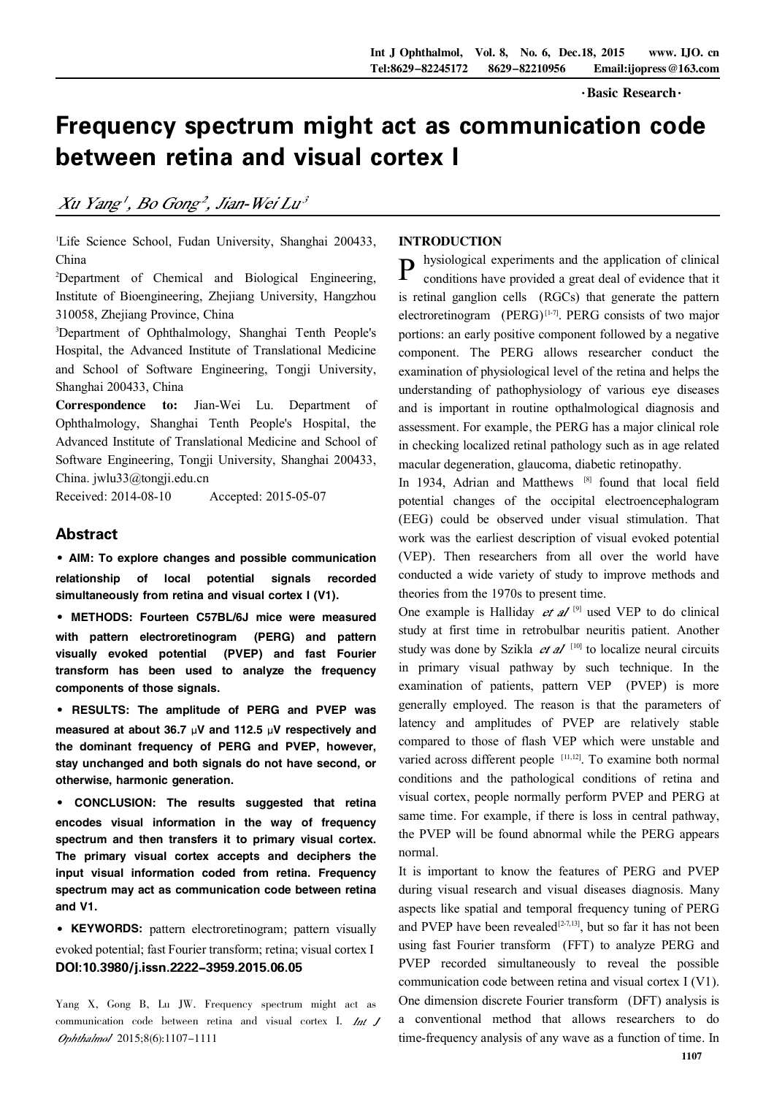· Basic Research ·

# Frequency spectrum might act as communication code between retina and visual cortex I

Xu Yang', Bo Gong<sup>2</sup>, Jian-Wei Lu<sup>3</sup>

<sup>1</sup>Life Science School, Fudan University, Shanghai 200433, China

<sup>2</sup>Department of Chemical and Biological Engineering, Institute of Bioengineering, Zhejiang University, Hangzhou 310058, Zhejiang Province, China

<sup>3</sup>Department of Ophthalmology, Shanghai Tenth People's Hospital, the Advanced Institute of Translational Medicine and School of Software Engineering, Tongji University, Shanghai 200433, China

Correspondence to: Jian-Wei Lu. Department of Ophthalmology, Shanghai Tenth People's Hospital, the Advanced Institute of Translational Medicine and School of Software Engineering, Tongji University, Shanghai 200433, China. jwlu33@tongji.edu.cn

Received: 2014-08-10 Accepted: 2015-05-07

## Abstract

·AIM: To explore changes and possible communication relationship of local potential signals recorded simultaneously from retina and visual cortex I (V1).

·METHODS: Fourteen C57BL/6J mice were measured with pattern electroretinogram (PERG) and pattern visually evoked potential (PVEP) and fast Fourier transform has been used to analyze the frequency components of those signals.

·RESULTS: The amplitude of PERG and PVEP was measured at about 36.7  $\mu$ V and 112.5  $\mu$ V respectively and the dominant frequency of PERG and PVEP, however, stay unchanged and both signals do not have second, or otherwise, harmonic generation.

· CONCLUSION: The results suggested that retina encodes visual information in the way of frequency spectrum and then transfers it to primary visual cortex. The primary visual cortex accepts and deciphers the input visual information coded from retina. Frequency spectrum may act as communication code between retina and V1.

·KEYWORDS: pattern electroretinogram; pattern visually evoked potential; fast Fourier transform; retina; visual cortex I DOI:10.3980/j.issn.2222-3959.2015.06.05

Yang X, Gong B, Lu JW. Frequency spectrum might act as communication code between retina and visual cortex I. Int J Ophthalmol 2015;8(6):1107-1111

### INTRODUCTION

**P** hysiological experiments and the application of clinical conditions have provided a great deal of evidence that it conditions have provided a great deal of evidence that it is retinal ganglion cells (RGCs) that generate the pattern electroretinogram (PERG)<sup>[1-7]</sup>. PERG consists of two major portions: an early positive component followed by a negative component. The PERG allows researcher conduct the examination of physiological level of the retina and helps the understanding of pathophysiology of various eye diseases and is important in routine opthalmological diagnosis and assessment. For example, the PERG has a major clinical role in checking localized retinal pathology such as in age related macular degeneration, glaucoma, diabetic retinopathy.

In 1934, Adrian and Matthews [8] found that local field potential changes of the occipital electroencephalogram (EEG) could be observed under visual stimulation. That work was the earliest description of visual evoked potential (VEP). Then researchers from all over the world have conducted a wide variety of study to improve methods and theories from the 1970s to present time.

One example is Halliday *et al*  $[9]$  used VEP to do clinical study at first time in retrobulbar neuritis patient. Another study was done by Szikla  $et \, al$ <sup>[10]</sup> to localize neural circuits in primary visual pathway by such technique. In the examination of patients, pattern VEP (PVEP) is more generally employed. The reason is that the parameters of latency and amplitudes of PVEP are relatively stable compared to those of flash VEP which were unstable and varied across different people [11,12]. To examine both normal conditions and the pathological conditions of retina and visual cortex, people normally perform PVEP and PERG at same time. For example, if there is loss in central pathway, the PVEP will be found abnormal while the PERG appears normal.

It is important to know the features of PERG and PVEP during visual research and visual diseases diagnosis. Many aspects like spatial and temporal frequency tuning of PERG and PVEP have been revealed<sup>[2-7,13]</sup>, but so far it has not been using fast Fourier transform (FFT) to analyze PERG and PVEP recorded simultaneously to reveal the possible communication code between retina and visual cortex I (V1). One dimension discrete Fourier transform (DFT) analysis is a conventional method that allows researchers to do time-frequency analysis of any wave as a function of time. In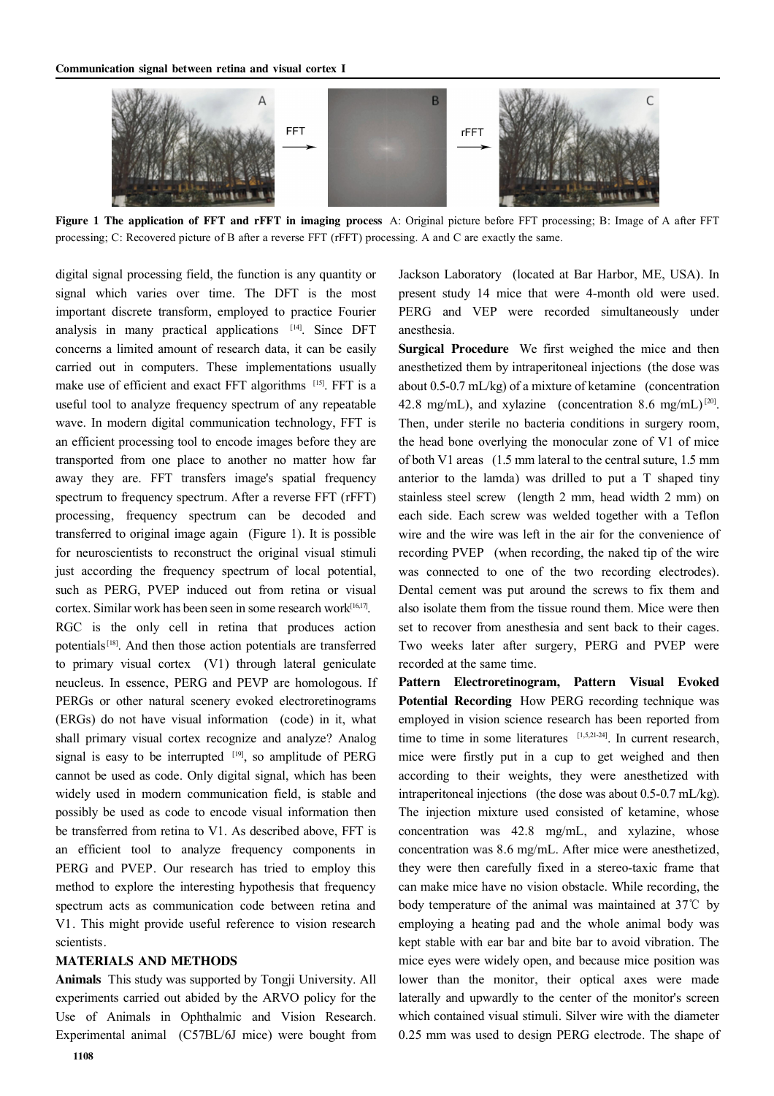

Figure 1 The application of FFT and rFFT in imaging process A: Original picture before FFT processing; B: Image of A after FFT processing; C: Recovered picture of B after a reverse FFT (rFFT) processing. A and C are exactly the same.

digital signal processing field, the function is any quantity or signal which varies over time. The DFT is the most important discrete transform, employed to practice Fourier analysis in many practical applications [14] . Since DFT concerns a limited amount of research data, it can be easily carried out in computers. These implementations usually make use of efficient and exact FFT algorithms [15]. FFT is a useful tool to analyze frequency spectrum of any repeatable wave. In modern digital communication technology, FFT is an efficient processing tool to encode images before they are transported from one place to another no matter how far away they are. FFT transfers image's spatial frequency spectrum to frequency spectrum. After a reverse FFT (rFFT) processing, frequency spectrum can be decoded and transferred to original image again (Figure 1). It is possible for neuroscientists to reconstruct the original visual stimuli just according the frequency spectrum of local potential, such as PERG, PVEP induced out from retina or visual cortex. Similar work has been seen in some research work[16,17]. RGC is the only cell in retina that produces action potentials<sup>[18]</sup>. And then those action potentials are transferred to primary visual cortex (V1) through lateral geniculate neucleus. In essence, PERG and PEVP are homologous. If PERGs or other natural scenery evoked electroretinograms (ERGs) do not have visual information (code) in it, what shall primary visual cortex recognize and analyze? Analog signal is easy to be interrupted  $[19]$ , so amplitude of PERG cannot be used as code. Only digital signal, which has been widely used in modern communication field, is stable and possibly be used as code to encode visual information then be transferred from retina to V1. As described above, FFT is an efficient tool to analyze frequency components in PERG and PVEP. Our research has tried to employ this method to explore the interesting hypothesis that frequency spectrum acts as communication code between retina and V1. This might provide useful reference to vision research scientists.

#### MATERIALS AND METHODS

Animals This study was supported by Tongji University. All experiments carried out abided by the ARVO policy for the Use of Animals in Ophthalmic and Vision Research. Experimental animal (C57BL/6J mice) were bought from

Jackson Laboratory (located at Bar Harbor, ME, USA). In present study 14 mice that were 4-month old were used. PERG and VEP were recorded simultaneously under anesthesia.

Surgical Procedure We first weighed the mice and then anesthetized them by intraperitoneal injections (the dose was about 0.5-0.7 mL/kg) of a mixture of ketamine (concentration 42.8 mg/mL), and xylazine (concentration 8.6 mg/mL)<sup>[20]</sup>. Then, under sterile no bacteria conditions in surgery room, the head bone overlying the monocular zone of V1 of mice of both V1 areas (1.5 mm lateral to the central suture, 1.5 mm anterior to the lamda) was drilled to put a T shaped tiny stainless steel screw (length 2 mm, head width 2 mm) on each side. Each screw was welded together with a Teflon wire and the wire was left in the air for the convenience of recording PVEP (when recording, the naked tip of the wire was connected to one of the two recording electrodes). Dental cement was put around the screws to fix them and also isolate them from the tissue round them. Mice were then set to recover from anesthesia and sent back to their cages. Two weeks later after surgery, PERG and PVEP were recorded at the same time.

Pattern Electroretinogram, Pattern Visual Evoked Potential Recording How PERG recording technique was employed in vision science research has been reported from time to time in some literatures  $[1,5,21-24]$ . In current research, mice were firstly put in a cup to get weighed and then according to their weights, they were anesthetized with intraperitoneal injections (the dose was about 0.5-0.7 mL/kg). The injection mixture used consisted of ketamine, whose concentration was 42.8 mg/mL, and xylazine, whose concentration was 8.6 mg/mL. After mice were anesthetized, they were then carefully fixed in a stereo-taxic frame that can make mice have no vision obstacle. While recording, the body temperature of the animal was maintained at 37℃ by employing a heating pad and the whole animal body was kept stable with ear bar and bite bar to avoid vibration. The mice eyes were widely open, and because mice position was lower than the monitor, their optical axes were made laterally and upwardly to the center of the monitor's screen which contained visual stimuli. Silver wire with the diameter 0.25 mm was used to design PERG electrode. The shape of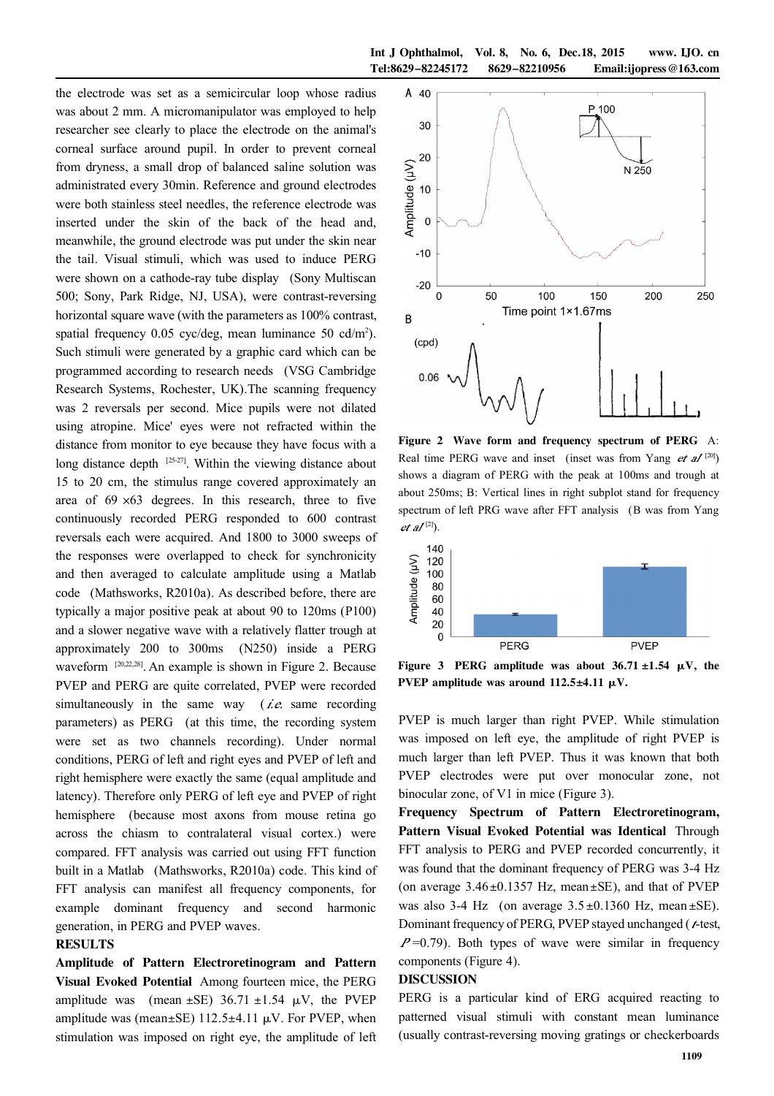the electrode was set as a semicircular loop whose radius was about 2 mm. A micromanipulator was employed to help researcher see clearly to place the electrode on the animal's corneal surface around pupil. In order to prevent corneal from dryness, a small drop of balanced saline solution was administrated every 30min. Reference and ground electrodes were both stainless steel needles, the reference electrode was inserted under the skin of the back of the head and, meanwhile, the ground electrode was put under the skin near the tail. Visual stimuli, which was used to induce PERG were shown on a cathode-ray tube display (Sony Multiscan 500; Sony, Park Ridge, NJ, USA), were contrast-reversing horizontal square wave (with the parameters as 100% contrast, spatial frequency 0.05 cyc/deg, mean luminance 50 cd/m<sup>2</sup>). Such stimuli were generated by a graphic card which can be programmed according to research needs (VSG Cambridge Research Systems, Rochester, UK).The scanning frequency was 2 reversals per second. Mice pupils were not dilated using atropine. Mice' eyes were not refracted within the distance from monitor to eye because they have focus with a long distance depth  $^{[25-27]}$ . Within the viewing distance about 15 to 20 cm, the stimulus range covered approximately an area of  $69 \times 63$  degrees. In this research, three to five continuously recorded PERG responded to 600 contrast reversals each were acquired. And 1800 to 3000 sweeps of the responses were overlapped to check for synchronicity and then averaged to calculate amplitude using a Matlab code (Mathsworks, R2010a). As described before, there are typically a major positive peak at about 90 to 120ms (P100) and a slower negative wave with a relatively flatter trough at approximately 200 to 300ms (N250) inside a PERG waveform <sup>[20,22,28]</sup>. An example is shown in Figure 2. Because PVEP and PERG are quite correlated, PVEP were recorded simultaneously in the same way ( $\ell \dot{\mathcal{E}}$  same recording parameters) as PERG (at this time, the recording system were set as two channels recording). Under normal conditions, PERG of left and right eyes and PVEP of left and right hemisphere were exactly the same (equal amplitude and latency). Therefore only PERG of left eye and PVEP of right hemisphere (because most axons from mouse retina go across the chiasm to contralateral visual cortex.) were compared. FFT analysis was carried out using FFT function built in a Matlab (Mathsworks, R2010a) code. This kind of FFT analysis can manifest all frequency components, for example dominant frequency and second harmonic generation, in PERG and PVEP waves.

#### RESULTS

Amplitude of Pattern Electroretinogram and Pattern Visual Evoked Potential Among fourteen mice, the PERG amplitude was (mean  $\pm$ SE) 36.71  $\pm$ 1.54  $\mu$ V, the PVEP amplitude was (mean $\pm$ SE) 112.5 $\pm$ 4.11  $\mu$ V. For PVEP, when stimulation was imposed on right eye, the amplitude of left



Figure 2 Wave form and frequency spectrum of PERG A: Real time PERG wave and inset (inset was from Yang  $et \, al^{[20]}$ ) shows a diagram of PERG with the peak at 100ms and trough at about 250ms; B: Vertical lines in right subplot stand for frequency spectrum of left PRG wave after FFT analysis (B was from Yang  $et \, dI^{[2]}$ ).



Figure 3 PERG amplitude was about  $36.71 \pm 1.54$   $\mu$ V, the PVEP amplitude was around  $112.5\pm4.11 \mu V$ .

PVEP is much larger than right PVEP. While stimulation was imposed on left eye, the amplitude of right PVEP is much larger than left PVEP. Thus it was known that both PVEP electrodes were put over monocular zone, not binocular zone, of V1 in mice (Figure 3).

Frequency Spectrum of Pattern Electroretinogram, Pattern Visual Evoked Potential was Identical Through FFT analysis to PERG and PVEP recorded concurrently, it was found that the dominant frequency of PERG was 3-4 Hz (on average  $3.46 \pm 0.1357$  Hz, mean  $\pm$ SE), and that of PVEP was also 3-4 Hz (on average  $3.5 \pm 0.1360$  Hz, mean  $\pm$ SE). Dominant frequency of PERG, PVEP stayed unchanged ( $t$ -test,  $P=0.79$ ). Both types of wave were similar in frequency components (Figure 4).

#### DISCUSSION

PERG is a particular kind of ERG acquired reacting to patterned visual stimuli with constant mean luminance (usually contrast-reversing moving gratings or checkerboards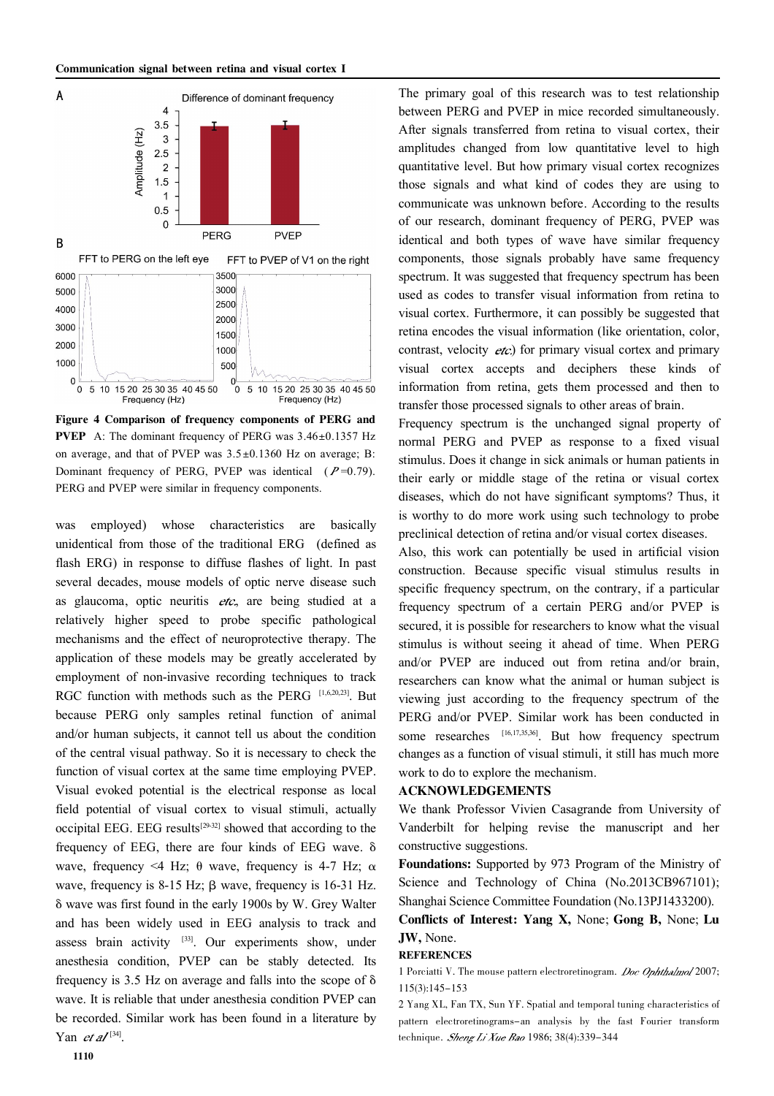

Figure 4 Comparison of frequency components of PERG and **PVEP** A: The dominant frequency of PERG was  $3.46 \pm 0.1357$  Hz on average, and that of PVEP was  $3.5 \pm 0.1360$  Hz on average; B: Dominant frequency of PERG, PVEP was identical  $(P=0.79)$ . PERG and PVEP were similar in frequency components.

was employed) whose characteristics are basically unidentical from those of the traditional ERG (defined as flash ERG) in response to diffuse flashes of light. In past several decades, mouse models of optic nerve disease such as glaucoma, optic neuritis  $etc$ , are being studied at a relatively higher speed to probe specific pathological mechanisms and the effect of neuroprotective therapy. The application of these models may be greatly accelerated by employment of non-invasive recording techniques to track RGC function with methods such as the PERG [1,6,20,23]. But because PERG only samples retinal function of animal and/or human subjects, it cannot tell us about the condition of the central visual pathway. So it is necessary to check the function of visual cortex at the same time employing PVEP. Visual evoked potential is the electrical response as local field potential of visual cortex to visual stimuli, actually occipital EEG. EEG results<sup>[29-32]</sup> showed that according to the frequency of EEG, there are four kinds of EEG wave.  $\delta$ wave, frequency <4 Hz;  $\theta$  wave, frequency is 4-7 Hz;  $\alpha$ wave, frequency is  $8-15$  Hz;  $\beta$  wave, frequency is 16-31 Hz. 啄 wave was first found in the early 1900s by W. Grey Walter and has been widely used in EEG analysis to track and assess brain activity [33]. Our experiments show, under anesthesia condition, PVEP can be stably detected. Its frequency is 3.5 Hz on average and falls into the scope of  $\delta$ wave. It is reliable that under anesthesia condition PVEP can be recorded. Similar work has been found in a literature by Yan *et al*<sup>[34]</sup>.

The primary goal of this research was to test relationship between PERG and PVEP in mice recorded simultaneously. After signals transferred from retina to visual cortex, their amplitudes changed from low quantitative level to high quantitative level. But how primary visual cortex recognizes those signals and what kind of codes they are using to communicate was unknown before. According to the results of our research, dominant frequency of PERG, PVEP was identical and both types of wave have similar frequency components, those signals probably have same frequency spectrum. It was suggested that frequency spectrum has been used as codes to transfer visual information from retina to visual cortex. Furthermore, it can possibly be suggested that retina encodes the visual information (like orientation, color, contrast, velocity  $eta$ : for primary visual cortex and primary visual cortex accepts and deciphers these kinds of information from retina, gets them processed and then to transfer those processed signals to other areas of brain.

Frequency spectrum is the unchanged signal property of normal PERG and PVEP as response to a fixed visual stimulus. Does it change in sick animals or human patients in their early or middle stage of the retina or visual cortex diseases, which do not have significant symptoms? Thus, it is worthy to do more work using such technology to probe preclinical detection of retina and/or visual cortex diseases.

Also, this work can potentially be used in artificial vision construction. Because specific visual stimulus results in specific frequency spectrum, on the contrary, if a particular frequency spectrum of a certain PERG and/or PVEP is secured, it is possible for researchers to know what the visual stimulus is without seeing it ahead of time. When PERG and/or PVEP are induced out from retina and/or brain, researchers can know what the animal or human subject is viewing just according to the frequency spectrum of the PERG and/or PVEP. Similar work has been conducted in some researches [16,17,35,36]. But how frequency spectrum changes as a function of visual stimuli, it still has much more work to do to explore the mechanism.

#### ACKNOWLEDGEMENTS

We thank Professor Vivien Casagrande from University of Vanderbilt for helping revise the manuscript and her constructive suggestions.

Foundations: Supported by 973 Program of the Ministry of Science and Technology of China (No.2013CB967101); Shanghai Science Committee Foundation (No.13PJ1433200).

Conflicts of Interest: Yang X, None; Gong B, None; Lu JW, None.

#### **REFERENCES**

1 Porciatti V. The mouse pattern electroretinogram. Doc Ophthalmol 2007; 115(3):145-153

2 Yang XL, Fan TX, Sun YF. Spatial and temporal tuning characteristics of pattern electroretinograms-an analysis by the fast Fourier transform technique. Sheng Li Xue Bao 1986; 38(4):339-344